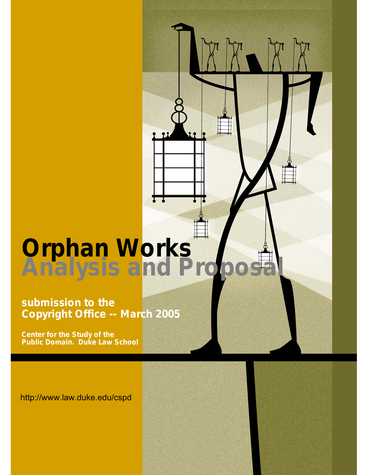# **Orphan Works Analysis and Proposal**

**submission to the Copyright Office -- March 2005** 

**Center for the Study of the Public Domain. Duke Law School**

<http://www.law.duke.edu/cspd>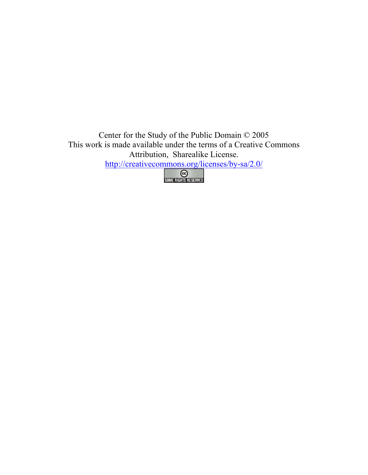Center for the Study of the Public Domain © 2005 This work is made available under the terms of a Creative Commons Attribution, Sharealike License. <http://creativecommons.org/licenses/by-sa/2.0/>

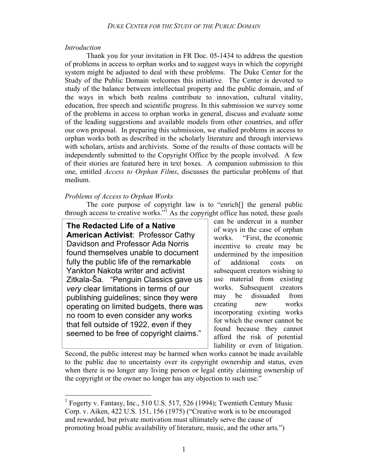## *Introduction*

 $\overline{a}$ 

Thank you for your invitation in FR Doc. 05-1434 to address the question of problems in access to orphan works and to suggest ways in which the copyright system might be adjusted to deal with these problems. The Duke Center for the Study of the Public Domain welcomes this initiative. The Center is devoted to study of the balance between intellectual property and the public domain, and of the ways in which both realms contribute to innovation, cultural vitality, education, free speech and scientific progress. In this submission we survey some of the problems in access to orphan works in general, discuss and evaluate some of the leading suggestions and available models from other countries, and offer our own proposal. In preparing this submission, we studied problems in access to orphan works both as described in the scholarly literature and through interviews with scholars, artists and archivists. Some of the results of those contacts will be independently submitted to the Copyright Office by the people involved. A few of their stories are featured here in text boxes. A companion submission to this one, entitled *Access to Orphan Films*, discusses the particular problems of that medium.

# *Problems of Access to Orphan Works*

The core purpose of copyright law is to "enrich[] the general public through access to creative works.<sup>31</sup> As the copyright office has noted, these goals

**The Redacted Life of a Native American Activist**: Professor Cathy Davidson and Professor Ada Norris found themselves unable to document fully the public life of the remarkable Yankton Nakota writer and activist Zitkala-Ša. "Penguin Classics gave us *very* clear limitations in terms of our publishing guidelines; since they were operating on limited budgets, there was no room to even consider any works that fell outside of 1922, even if they seemed to be free of copyright claims."

can be undercut in a number of ways in the case of orphan works. "First, the economic incentive to create may be undermined by the imposition of additional costs on subsequent creators wishing to use material from existing works. Subsequent creators may be dissuaded from creating new works incorporating existing works for which the owner cannot be found because they cannot afford the risk of potential liability or even of litigation.

Second, the public interest may be harmed when works cannot be made available to the public due to uncertainty over its copyright ownership and status, even when there is no longer any living person or legal entity claiming ownership of the copyright or the owner no longer has any objection to such use."

<sup>&</sup>lt;sup>1</sup> Fogerty v. Fantasy, Inc., 510 U.S. 517, 526 (1994); Twentieth Century Music Corp. v. Aiken, 422 U.S. 151, 156 (1975) ("Creative work is to be encouraged and rewarded, but private motivation must ultimately serve the cause of promoting broad public availability of literature, music, and the other arts.")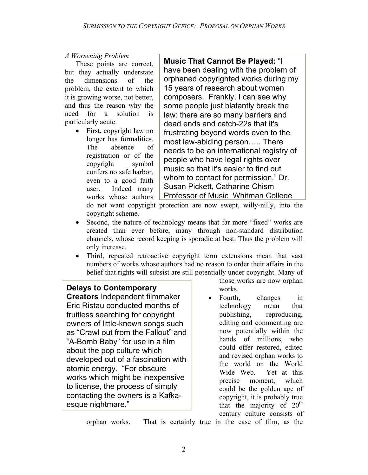# *A Worsening Problem*

These points are correct, but they actually understate the dimensions of the problem, the extent to which it is growing worse, not better, and thus the reason why the need for a solution is particularly acute.

• First, copyright law no longer has formalities. The absence of registration or of the copyright symbol confers no safe harbor, even to a good faith user. Indeed many works whose authors

**Music That Cannot Be Played:** "I have been dealing with the problem of orphaned copyrighted works during my 15 years of research about women composers. Frankly, I can see why some people just blatantly break the law: there are so many barriers and dead ends and catch-22s that it's frustrating beyond words even to the most law-abiding person….. There needs to be an international registry of people who have legal rights over music so that it's easier to find out whom to contact for permission." Dr. Susan Pickett, Catharine Chism Professor of Music Whitman College

do not want copyright protection are now swept, willy-nilly, into the copyright scheme.

- Second, the nature of technology means that far more "fixed" works are created than ever before, many through non-standard distribution channels, whose record keeping is sporadic at best. Thus the problem will only increase.
- Third, repeated retroactive copyright term extensions mean that vast numbers of works whose authors had no reason to order their affairs in the belief that rights will subsist are still potentially under copyright. Many of

# **Delays to Contemporary**

**Creators** Independent filmmaker Eric Ristau conducted months of fruitless searching for copyright owners of little-known songs such as "Crawl out from the Fallout" and "A-Bomb Baby" for use in a film about the pop culture which developed out of a fascination with atomic energy. "For obscure works which might be inexpensive to license, the process of simply contacting the owners is a Kafkaesque nightmare."

those works are now orphan works.

• Fourth, changes in technology mean that publishing, reproducing, editing and commenting are now potentially within the hands of millions, who could offer restored, edited and revised orphan works to the world on the World Wide Web. Yet at this precise moment, which could be the golden age of copyright, it is probably true that the majority of  $20<sup>th</sup>$ century culture consists of

orphan works. That is certainly true in the case of film, as the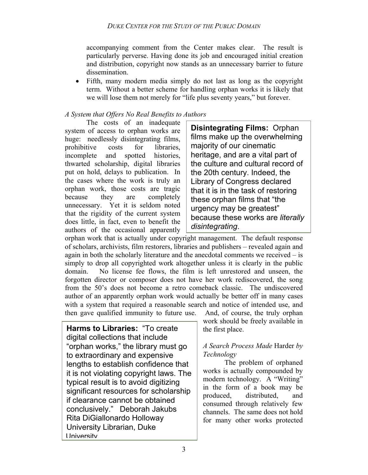accompanying comment from the Center makes clear. The result is particularly perverse. Having done its job and encouraged initial creation and distribution, copyright now stands as an unnecessary barrier to future dissemination.

• Fifth, many modern media simply do not last as long as the copyright term. Without a better scheme for handling orphan works it is likely that we will lose them not merely for "life plus seventy years," but forever.

# *A System that Offers No Real Benefits to Authors*

The costs of an inadequate system of access to orphan works are huge: needlessly disintegrating films, prohibitive costs for libraries, incomplete and spotted histories, thwarted scholarship, digital libraries put on hold, delays to publication. In the cases where the work is truly an orphan work, those costs are tragic because they are completely unnecessary. Yet it is seldom noted that the rigidity of the current system does little, in fact, even to benefit the authors of the occasional apparently

**Disintegrating Films:** Orphan films make up the overwhelming majority of our cinematic heritage, and are a vital part of the culture and cultural record of the 20th century. Indeed, the Library of Congress declared that it is in the task of restoring these orphan films that "the urgency may be greatest" because these works are *literally disintegrating*.

orphan work that is actually under copyright management. The default response of scholars, archivists, film restorers, libraries and publishers – revealed again and again in both the scholarly literature and the anecdotal comments we received – is simply to drop all copyrighted work altogether unless it is clearly in the public domain. No license fee flows, the film is left unrestored and unseen, the forgotten director or composer does not have her work rediscovered, the song from the 50's does not become a retro comeback classic. The undiscovered author of an apparently orphan work would actually be better off in many cases with a system that required a reasonable search and notice of intended use, and then gave qualified immunity to future use. And, of course, the truly orphan

**Harms to Libraries:** "To create digital collections that include "orphan works," the library must go to extraordinary and expensive lengths to establish confidence that it is not violating copyright laws. The typical result is to avoid digitizing significant resources for scholarship if clearance cannot be obtained conclusively." Deborah Jakubs Rita DiGiallonardo Holloway University Librarian, Duke University

work should be freely available in the first place.

# *A Search Process Made* Harder *by Technology*

The problem of orphaned works is actually compounded by modern technology. A "Writing" in the form of a book may be produced, distributed, and consumed through relatively few channels. The same does not hold for many other works protected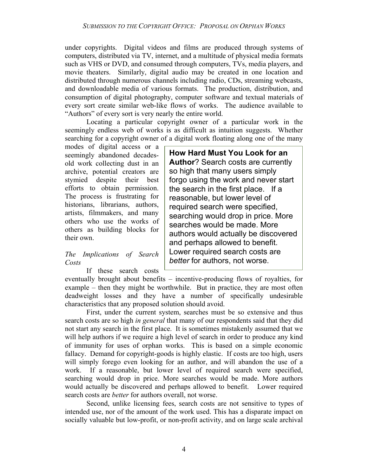under copyrights. Digital videos and films are produced through systems of computers, distributed via TV, internet, and a multitude of physical media formats such as VHS or DVD, and consumed through computers, TVs, media players, and movie theaters. Similarly, digital audio may be created in one location and distributed through numerous channels including radio, CDs, streaming webcasts, and downloadable media of various formats. The production, distribution, and consumption of digital photography, computer software and textual materials of every sort create similar web-like flows of works. The audience available to "Authors" of every sort is very nearly the entire world.

Locating a particular copyright owner of a particular work in the seemingly endless web of works is as difficult as intuition suggests. Whether searching for a copyright owner of a digital work floating along one of the many

modes of digital access or a seemingly abandoned decadesold work collecting dust in an archive, potential creators are stymied despite their best efforts to obtain permission. The process is frustrating for historians, librarians, authors, artists, filmmakers, and many others who use the works of others as building blocks for their own.

# *The Implications of Search Costs*

If these search costs

**How Hard Must You Look for an Author**? Search costs are currently so high that many users simply forgo using the work and never start the search in the first place. If a reasonable, but lower level of required search were specified, searching would drop in price. More searches would be made. More authors would actually be discovered and perhaps allowed to benefit. Lower required search costs are *better* for authors, not worse.

eventually brought about benefits – incentive-producing flows of royalties, for example – then they might be worthwhile. But in practice, they are most often deadweight losses and they have a number of specifically undesirable characteristics that any proposed solution should avoid.

First, under the current system, searches must be so extensive and thus search costs are so high *in general* that many of our respondents said that they did not start any search in the first place. It is sometimes mistakenly assumed that we will help authors if we require a high level of search in order to produce any kind of immunity for uses of orphan works. This is based on a simple economic fallacy. Demand for copyright-goods is highly elastic. If costs are too high, users will simply forego even looking for an author, and will abandon the use of a work. If a reasonable, but lower level of required search were specified, searching would drop in price. More searches would be made. More authors would actually be discovered and perhaps allowed to benefit. Lower required search costs are *better* for authors overall, not worse.

Second, unlike licensing fees, search costs are not sensitive to types of intended use, nor of the amount of the work used. This has a disparate impact on socially valuable but low-profit, or non-profit activity, and on large scale archival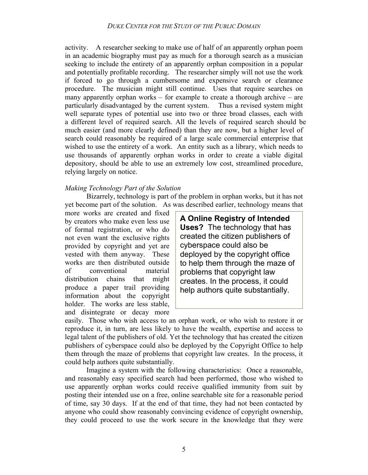activity. A researcher seeking to make use of half of an apparently orphan poem in an academic biography must pay as much for a thorough search as a musician seeking to include the entirety of an apparently orphan composition in a popular and potentially profitable recording. The researcher simply will not use the work if forced to go through a cumbersome and expensive search or clearance procedure. The musician might still continue. Uses that require searches on many apparently orphan works – for example to create a thorough archive – are particularly disadvantaged by the current system. Thus a revised system might well separate types of potential use into two or three broad classes, each with a different level of required search. All the levels of required search should be much easier (and more clearly defined) than they are now, but a higher level of search could reasonably be required of a large scale commercial enterprise that wished to use the entirety of a work. An entity such as a library, which needs to use thousands of apparently orphan works in order to create a viable digital depository, should be able to use an extremely low cost, streamlined procedure, relying largely on notice.

#### *Making Technology Part of the Solution*

 Bizarrely, technology is part of the problem in orphan works, but it has not yet become part of the solution. As was described earlier, technology means that

more works are created and fixed by creators who make even less use of formal registration, or who do not even want the exclusive rights provided by copyright and yet are vested with them anyway. These works are then distributed outside of conventional material distribution chains that might produce a paper trail providing information about the copyright holder. The works are less stable, and disintegrate or decay more

**A Online Registry of Intended Uses?** The technology that has created the citizen publishers of cyberspace could also be deployed by the copyright office to help them through the maze of problems that copyright law creates. In the process, it could help authors quite substantially.

easily. Those who wish access to an orphan work, or who wish to restore it or reproduce it, in turn, are less likely to have the wealth, expertise and access to legal talent of the publishers of old. Yet the technology that has created the citizen publishers of cyberspace could also be deployed by the Copyright Office to help them through the maze of problems that copyright law creates. In the process, it could help authors quite substantially.

Imagine a system with the following characteristics: Once a reasonable, and reasonably easy specified search had been performed, those who wished to use apparently orphan works could receive qualified immunity from suit by posting their intended use on a free, online searchable site for a reasonable period of time, say 30 days. If at the end of that time, they had not been contacted by anyone who could show reasonably convincing evidence of copyright ownership, they could proceed to use the work secure in the knowledge that they were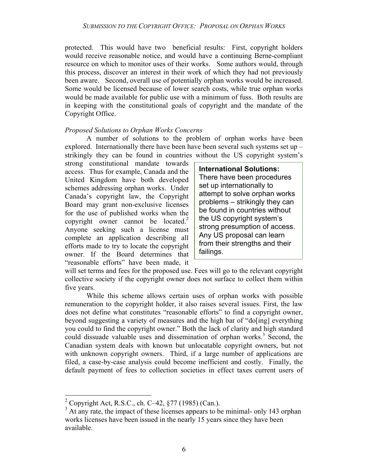protected. This would have two beneficial results: First, copyright holders would receive reasonable notice, and would have a continuing Berne-compliant resource on which to monitor uses of their works. Some authors would, through this process, discover an interest in their work of which they had not previously been aware. Second, overall use of potentially orphan works would be increased. Some would be licensed because of lower search costs, while true orphan works would be made available for public use with a minimum of fuss. Both results are in keeping with the constitutional goals of copyright and the mandate of the Copyright Office.

#### *Proposed Solutions to Orphan Works Concerns*

A number of solutions to the problem of orphan works have been explored. Internationally there have been have been several such systems set up – strikingly they can be found in countries without the US copyright system's

strong constitutional mandate towards access. Thus for example, Canada and the United Kingdom have both developed schemes addressing orphan works. Under Canada's copyright law, the Copyright Board may grant non-exclusive licenses for the use of published works when the copyright owner cannot be located. $2$ Anyone seeking such a license must complete an application describing all efforts made to try to locate the copyright owner. If the Board determines that "reasonable efforts" have been made, it

**International Solutions:**  There have been procedures set up internationally to attempt to solve orphan works problems – strikingly they can be found in countries without the US copyright system's strong presumption of access. Any US proposal can learn from their strengths and their failings.

will set terms and fees for the proposed use. Fees will go to the relevant copyright collective society if the copyright owner does not surface to collect them within five years.

While this scheme allows certain uses of orphan works with possible remuneration to the copyright holder, it also raises several issues. First, the law does not define what constitutes "reasonable efforts" to find a copyright owner, beyond suggesting a variety of measures and the high bar of "do[ing] everything you could to find the copyright owner." Both the lack of clarity and high standard could dissuade valuable uses and dissemination of orphan works.<sup>3</sup> Second, the Canadian system deals with known but unlocatable copyright owners, but not with unknown copyright owners. Third, if a large number of applications are filed, a case-by-case analysis could become inefficient and costly. Finally, the default payment of fees to collection societies in effect taxes current users of

 $\overline{a}$ 

<sup>&</sup>lt;sup>2</sup> Copyright Act, R.S.C., ch. C-42,  $\S 77$  (1985) (Can.).

<sup>&</sup>lt;sup>3</sup> At any rate, the impact of these licenses appears to be minimal- only 143 orphan works licenses have been issued in the nearly 15 years since they have been available.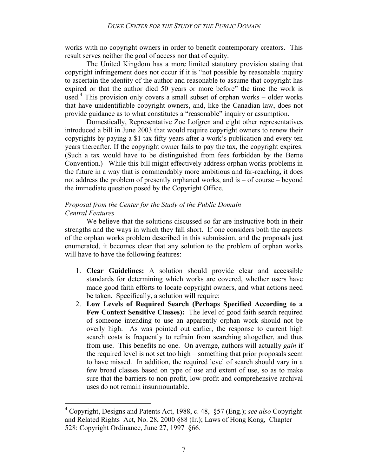works with no copyright owners in order to benefit contemporary creators. This result serves neither the goal of access nor that of equity.

The United Kingdom has a more limited statutory provision stating that copyright infringement does not occur if it is "not possible by reasonable inquiry to ascertain the identity of the author and reasonable to assume that copyright has expired or that the author died 50 years or more before" the time the work is used.4 This provision only covers a small subset of orphan works – older works that have unidentifiable copyright owners, and, like the Canadian law, does not provide guidance as to what constitutes a "reasonable" inquiry or assumption.

Domestically, Representative Zoe Lofgren and eight other representatives introduced a bill in June 2003 that would require copyright owners to renew their copyrights by paying a \$1 tax fifty years after a work's publication and every ten years thereafter. If the copyright owner fails to pay the tax, the copyright expires. (Such a tax would have to be distinguished from fees forbidden by the Berne Convention.) While this bill might effectively address orphan works problems in the future in a way that is commendably more ambitious and far-reaching, it does not address the problem of presently orphaned works, and is – of course – beyond the immediate question posed by the Copyright Office.

## *Proposal from the Center for the Study of the Public Domain Central Features*

We believe that the solutions discussed so far are instructive both in their strengths and the ways in which they fall short. If one considers both the aspects of the orphan works problem described in this submission, and the proposals just enumerated, it becomes clear that any solution to the problem of orphan works will have to have the following features:

- 1. **Clear Guidelines:** A solution should provide clear and accessible standards for determining which works are covered, whether users have made good faith efforts to locate copyright owners, and what actions need be taken. Specifically, a solution will require:
- 2. **Low Levels of Required Search (Perhaps Specified According to a Few Context Sensitive Classes):** The level of good faith search required of someone intending to use an apparently orphan work should not be overly high. As was pointed out earlier, the response to current high search costs is frequently to refrain from searching altogether, and thus from use. This benefits no one. On average, authors will actually *gain* if the required level is not set too high – something that prior proposals seem to have missed. In addition, the required level of search should vary in a few broad classes based on type of use and extent of use, so as to make sure that the barriers to non-profit, low-profit and comprehensive archival uses do not remain insurmountable.

 4 Copyright, Designs and Patents Act, 1988, c. 48, §57 (Eng.); *see also* Copyright and Related Rights Act, No. 28, 2000 §88 (Ir.); Laws of Hong Kong, Chapter 528: Copyright Ordinance, June 27, 1997 §66.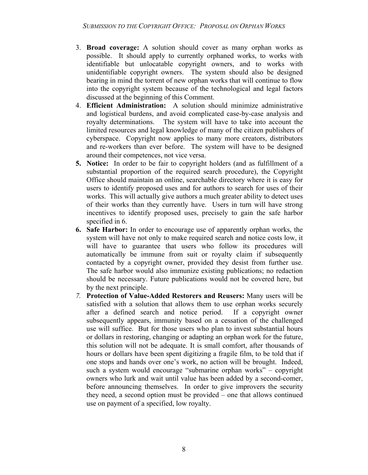- 3. **Broad coverage:** A solution should cover as many orphan works as possible. It should apply to currently orphaned works, to works with identifiable but unlocatable copyright owners, and to works with unidentifiable copyright owners. The system should also be designed bearing in mind the torrent of new orphan works that will continue to flow into the copyright system because of the technological and legal factors discussed at the beginning of this Comment.
- 4. **Efficient Administration:** A solution should minimize administrative and logistical burdens, and avoid complicated case-by-case analysis and royalty determinations. The system will have to take into account the limited resources and legal knowledge of many of the citizen publishers of cyberspace. Copyright now applies to many more creators, distributors and re-workers than ever before. The system will have to be designed around their competences, not vice versa.
- **5. Notice:** In order to be fair to copyright holders (and as fulfillment of a substantial proportion of the required search procedure), the Copyright Office should maintain an online, searchable directory where it is easy for users to identify proposed uses and for authors to search for uses of their works. This will actually give authors a much greater ability to detect uses of their works than they currently have. Users in turn will have strong incentives to identify proposed uses, precisely to gain the safe harbor specified in 6.
- **6. Safe Harbor:** In order to encourage use of apparently orphan works, the system will have not only to make required search and notice costs low, it will have to guarantee that users who follow its procedures will automatically be immune from suit or royalty claim if subsequently contacted by a copyright owner, provided they desist from further use. The safe harbor would also immunize existing publications; no redaction should be necessary. Future publications would not be covered here, but by the next principle.
- *7.* **Protection of Value-Added Restorers and Reusers:** Many users will be satisfied with a solution that allows them to use orphan works securely after a defined search and notice period. If a copyright owner subsequently appears, immunity based on a cessation of the challenged use will suffice. But for those users who plan to invest substantial hours or dollars in restoring, changing or adapting an orphan work for the future, this solution will not be adequate. It is small comfort, after thousands of hours or dollars have been spent digitizing a fragile film, to be told that if one stops and hands over one's work, no action will be brought. Indeed, such a system would encourage "submarine orphan works" – copyright owners who lurk and wait until value has been added by a second-comer, before announcing themselves. In order to give improvers the security they need, a second option must be provided – one that allows continued use on payment of a specified, low royalty.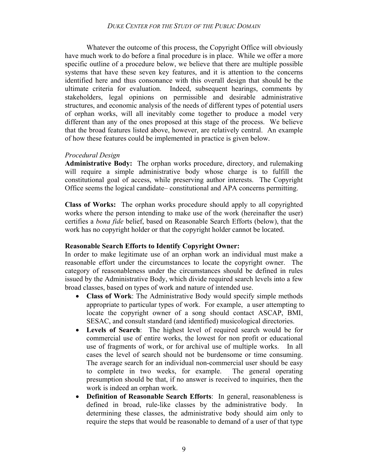#### *DUKE CENTER FOR THE STUDY OF THE PUBLIC DOMAIN*

 Whatever the outcome of this process, the Copyright Office will obviously have much work to do before a final procedure is in place. While we offer a more specific outline of a procedure below, we believe that there are multiple possible systems that have these seven key features, and it is attention to the concerns identified here and thus consonance with this overall design that should be the ultimate criteria for evaluation. Indeed, subsequent hearings, comments by stakeholders, legal opinions on permissible and desirable administrative structures, and economic analysis of the needs of different types of potential users of orphan works, will all inevitably come together to produce a model very different than any of the ones proposed at this stage of the process. We believe that the broad features listed above, however, are relatively central. An example of how these features could be implemented in practice is given below.

#### *Procedural Design*

**Administrative Body:** The orphan works procedure, directory, and rulemaking will require a simple administrative body whose charge is to fulfill the constitutional goal of access, while preserving author interests. The Copyright Office seems the logical candidate– constitutional and APA concerns permitting.

**Class of Works:** The orphan works procedure should apply to all copyrighted works where the person intending to make use of the work (hereinafter the user) certifies a *bona fide* belief, based on Reasonable Search Efforts (below), that the work has no copyright holder or that the copyright holder cannot be located.

#### **Reasonable Search Efforts to Identify Copyright Owner:**

In order to make legitimate use of an orphan work an individual must make a reasonable effort under the circumstances to locate the copyright owner. The category of reasonableness under the circumstances should be defined in rules issued by the Administrative Body, which divide required search levels into a few broad classes, based on types of work and nature of intended use.

- **Class of Work**: The Administrative Body would specify simple methods appropriate to particular types of work. For example, a user attempting to locate the copyright owner of a song should contact ASCAP, BMI, SESAC, and consult standard (and identified) musicological directories.
- **Levels of Search**: The highest level of required search would be for commercial use of entire works, the lowest for non profit or educational use of fragments of work, or for archival use of multiple works. In all cases the level of search should not be burdensome or time consuming. The average search for an individual non-commercial user should be easy to complete in two weeks, for example. The general operating presumption should be that, if no answer is received to inquiries, then the work is indeed an orphan work.
- **Definition of Reasonable Search Efforts**: In general, reasonableness is defined in broad, rule-like classes by the administrative body. In determining these classes, the administrative body should aim only to require the steps that would be reasonable to demand of a user of that type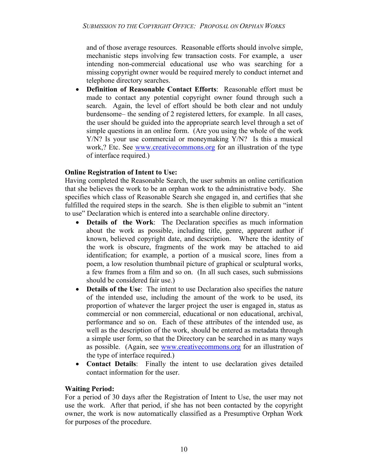and of those average resources. Reasonable efforts should involve simple, mechanistic steps involving few transaction costs. For example, a user intending non-commercial educational use who was searching for a missing copyright owner would be required merely to conduct internet and telephone directory searches.

• **Definition of Reasonable Contact Efforts**: Reasonable effort must be made to contact any potential copyright owner found through such a search. Again, the level of effort should be both clear and not unduly burdensome– the sending of 2 registered letters, for example. In all cases, the user should be guided into the appropriate search level through a set of simple questions in an online form. (Are you using the whole of the work Y/N? Is your use commercial or moneymaking Y/N? Is this a musical work,? Etc. See www.creativecommons.org for an illustration of the type of interface required.)

# **Online Registration of Intent to Use:**

Having completed the Reasonable Search, the user submits an online certification that she believes the work to be an orphan work to the administrative body. She specifies which class of Reasonable Search she engaged in, and certifies that she fulfilled the required steps in the search. She is then eligible to submit an "intent to use" Declaration which is entered into a searchable online directory.

- **Details of the Work**: The Declaration specifies as much information about the work as possible, including title, genre, apparent author if known, believed copyright date, and description. Where the identity of the work is obscure, fragments of the work may be attached to aid identification; for example, a portion of a musical score, lines from a poem, a low resolution thumbnail picture of graphical or sculptural works, a few frames from a film and so on. (In all such cases, such submissions should be considered fair use.)
- **Details of the Use**: The intent to use Declaration also specifies the nature of the intended use, including the amount of the work to be used, its proportion of whatever the larger project the user is engaged in, status as commercial or non commercial, educational or non educational, archival, performance and so on. Each of these attributes of the intended use, as well as the description of the work, should be entered as metadata through a simple user form, so that the Directory can be searched in as many ways as possible. (Again, see www.creativecommons.org for an illustration of the type of interface required.)
- **Contact Details**: Finally the intent to use declaration gives detailed contact information for the user.

# **Waiting Period:**

For a period of 30 days after the Registration of Intent to Use, the user may not use the work. After that period, if she has not been contacted by the copyright owner, the work is now automatically classified as a Presumptive Orphan Work for purposes of the procedure.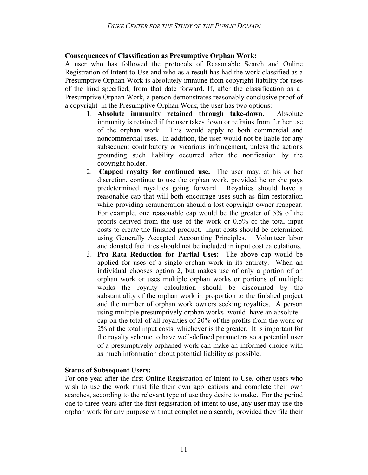## **Consequences of Classification as Presumptive Orphan Work:**

A user who has followed the protocols of Reasonable Search and Online Registration of Intent to Use and who as a result has had the work classified as a Presumptive Orphan Work is absolutely immune from copyright liability for uses of the kind specified, from that date forward. If, after the classification as a Presumptive Orphan Work, a person demonstrates reasonably conclusive proof of a copyright in the Presumptive Orphan Work, the user has two options:

- 1. **Absolute immunity retained through take-down**. Absolute immunity is retained if the user takes down or refrains from further use of the orphan work. This would apply to both commercial and noncommercial uses. In addition, the user would not be liable for any subsequent contributory or vicarious infringement, unless the actions grounding such liability occurred after the notification by the copyright holder.
- 2. **Capped royalty for continued use.** The user may, at his or her discretion, continue to use the orphan work, provided he or she pays predetermined royalties going forward. Royalties should have a reasonable cap that will both encourage uses such as film restoration while providing remuneration should a lost copyright owner reappear. For example, one reasonable cap would be the greater of 5% of the profits derived from the use of the work or 0.5% of the total input costs to create the finished product. Input costs should be determined using Generally Accepted Accounting Principles. Volunteer labor and donated facilities should not be included in input cost calculations.
- 3. **Pro Rata Reduction for Partial Uses:** The above cap would be applied for uses of a single orphan work in its entirety. When an individual chooses option 2, but makes use of only a portion of an orphan work or uses multiple orphan works or portions of multiple works the royalty calculation should be discounted by the substantiality of the orphan work in proportion to the finished project and the number of orphan work owners seeking royalties. A person using multiple presumptively orphan works would have an absolute cap on the total of all royalties of 20% of the profits from the work or 2% of the total input costs, whichever is the greater. It is important for the royalty scheme to have well-defined parameters so a potential user of a presumptively orphaned work can make an informed choice with as much information about potential liability as possible.

#### **Status of Subsequent Users:**

For one year after the first Online Registration of Intent to Use, other users who wish to use the work must file their own applications and complete their own searches, according to the relevant type of use they desire to make. For the period one to three years after the first registration of intent to use, any user may use the orphan work for any purpose without completing a search, provided they file their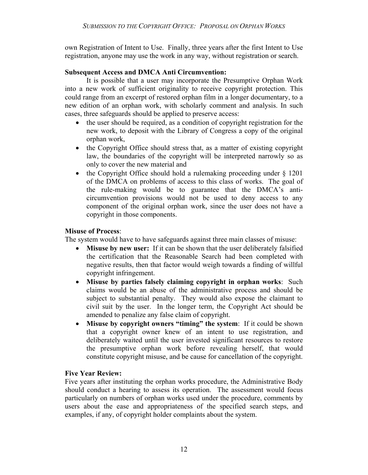own Registration of Intent to Use. Finally, three years after the first Intent to Use registration, anyone may use the work in any way, without registration or search.

## **Subsequent Access and DMCA Anti Circumvention:**

 It is possible that a user may incorporate the Presumptive Orphan Work into a new work of sufficient originality to receive copyright protection. This could range from an excerpt of restored orphan film in a longer documentary, to a new edition of an orphan work, with scholarly comment and analysis. In such cases, three safeguards should be applied to preserve access:

- the user should be required, as a condition of copyright registration for the new work, to deposit with the Library of Congress a copy of the original orphan work,
- the Copyright Office should stress that, as a matter of existing copyright law, the boundaries of the copyright will be interpreted narrowly so as only to cover the new material and
- the Copyright Office should hold a rulemaking proceeding under § 1201 of the DMCA on problems of access to this class of works. The goal of the rule-making would be to guarantee that the DMCA's anticircumvention provisions would not be used to deny access to any component of the original orphan work, since the user does not have a copyright in those components.

## **Misuse of Process**:

The system would have to have safeguards against three main classes of misuse:

- **Misuse by new user:** If it can be shown that the user deliberately falsified the certification that the Reasonable Search had been completed with negative results, then that factor would weigh towards a finding of willful copyright infringement.
- **Misuse by parties falsely claiming copyright in orphan works**: Such claims would be an abuse of the administrative process and should be subject to substantial penalty. They would also expose the claimant to civil suit by the user. In the longer term, the Copyright Act should be amended to penalize any false claim of copyright.
- **Misuse by copyright owners "timing" the system**: If it could be shown that a copyright owner knew of an intent to use registration, and deliberately waited until the user invested significant resources to restore the presumptive orphan work before revealing herself, that would constitute copyright misuse, and be cause for cancellation of the copyright.

# **Five Year Review:**

Five years after instituting the orphan works procedure, the Administrative Body should conduct a hearing to assess its operation. The assessment would focus particularly on numbers of orphan works used under the procedure, comments by users about the ease and appropriateness of the specified search steps, and examples, if any, of copyright holder complaints about the system.